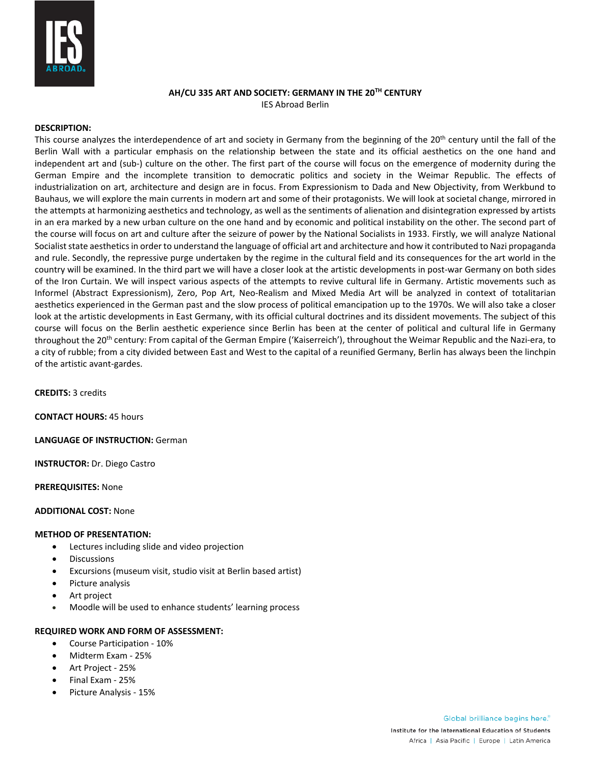

# **AH/CU 335 ART AND SOCIETY: GERMANY IN THE 20TH CENTURY** IES Abroad Berlin

# **DESCRIPTION:**

This course analyzes the interdependence of art and society in Germany from the beginning of the 20<sup>th</sup> century until the fall of the Berlin Wall with a particular emphasis on the relationship between the state and its official aesthetics on the one hand and independent art and (sub-) culture on the other. The first part of the course will focus on the emergence of modernity during the German Empire and the incomplete transition to democratic politics and society in the Weimar Republic. The effects of industrialization on art, architecture and design are in focus. From Expressionism to Dada and New Objectivity, from Werkbund to Bauhaus, we will explore the main currents in modern art and some of their protagonists. We will look at societal change, mirrored in the attempts at harmonizing aesthetics and technology, as well as the sentiments of alienation and disintegration expressed by artists in an era marked by a new urban culture on the one hand and by economic and political instability on the other. The second part of the course will focus on art and culture after the seizure of power by the National Socialists in 1933. Firstly, we will analyze National Socialist state aesthetics in order to understand the language of official art and architecture and how it contributed to Nazi propaganda and rule. Secondly, the repressive purge undertaken by the regime in the cultural field and its consequences for the art world in the country will be examined. In the third part we will have a closer look at the artistic developments in post-war Germany on both sides of the Iron Curtain. We will inspect various aspects of the attempts to revive cultural life in Germany. Artistic movements such as Informel (Abstract Expressionism), Zero, Pop Art, Neo-Realism and Mixed Media Art will be analyzed in context of totalitarian aesthetics experienced in the German past and the slow process of political emancipation up to the 1970s. We will also take a closer look at the artistic developments in East Germany, with its official cultural doctrines and its dissident movements. The subject of this course will focus on the Berlin aesthetic experience since Berlin has been at the center of political and cultural life in Germany throughout the 20<sup>th</sup> century: From capital of the German Empire ('Kaiserreich'), throughout the Weimar Republic and the Nazi-era, to a city of rubble; from a city divided between East and West to the capital of a reunified Germany, Berlin has always been the linchpin of the artistic avant-gardes.

**CREDITS:** 3 credits

**CONTACT HOURS:** 45 hours

**LANGUAGE OF INSTRUCTION:** German

**INSTRUCTOR:** Dr. Diego Castro

**PREREQUISITES:** None

## **ADDITIONAL COST:** None

### **METHOD OF PRESENTATION:**

- Lectures including slide and video projection
- **Discussions**
- Excursions (museum visit, studio visit at Berlin based artist)
- Picture analysis
- Art project
- Moodle will be used to enhance students' learning process

### **REQUIRED WORK AND FORM OF ASSESSMENT:**

- Course Participation 10%
- Midterm Exam 25%
- Art Project 25%
- Final Exam 25%
- Picture Analysis 15%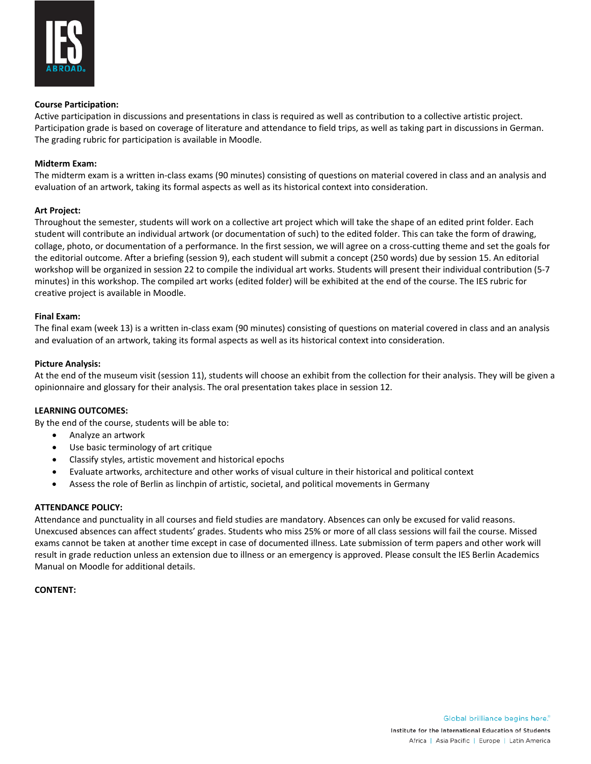

## **Course Participation:**

Active participation in discussions and presentations in class is required as well as contribution to a collective artistic project. Participation grade is based on coverage of literature and attendance to field trips, as well as taking part in discussions in German. The grading rubric for participation is available in Moodle.

## **Midterm Exam:**

The midterm exam is a written in-class exams (90 minutes) consisting of questions on material covered in class and an analysis and evaluation of an artwork, taking its formal aspects as well as its historical context into consideration.

## **Art Project:**

Throughout the semester, students will work on a collective art project which will take the shape of an edited print folder. Each student will contribute an individual artwork (or documentation of such) to the edited folder. This can take the form of drawing, collage, photo, or documentation of a performance. In the first session, we will agree on a cross-cutting theme and set the goals for the editorial outcome. After a briefing (session 9), each student will submit a concept (250 words) due by session 15. An editorial workshop will be organized in session 22 to compile the individual art works. Students will present their individual contribution (5-7 minutes) in this workshop. The compiled art works (edited folder) will be exhibited at the end of the course. The IES rubric for creative project is available in Moodle.

## **Final Exam:**

The final exam (week 13) is a written in-class exam (90 minutes) consisting of questions on material covered in class and an analysis and evaluation of an artwork, taking its formal aspects as well as its historical context into consideration.

## **Picture Analysis:**

At the end of the museum visit (session 11), students will choose an exhibit from the collection for their analysis. They will be given a opinionnaire and glossary for their analysis. The oral presentation takes place in session 12.

### **LEARNING OUTCOMES:**

By the end of the course, students will be able to:

- Analyze an artwork
- Use basic terminology of art critique
- Classify styles, artistic movement and historical epochs
- Evaluate artworks, architecture and other works of visual culture in their historical and political context
- Assess the role of Berlin as linchpin of artistic, societal, and political movements in Germany

### **ATTENDANCE POLICY:**

Attendance and punctuality in all courses and field studies are mandatory. Absences can only be excused for valid reasons. Unexcused absences can affect students' grades. Students who miss 25% or more of all class sessions will fail the course. Missed exams cannot be taken at another time except in case of documented illness. Late submission of term papers and other work will result in grade reduction unless an extension due to illness or an emergency is approved. Please consult the IES Berlin Academics Manual on Moodle for additional details.

### **CONTENT:**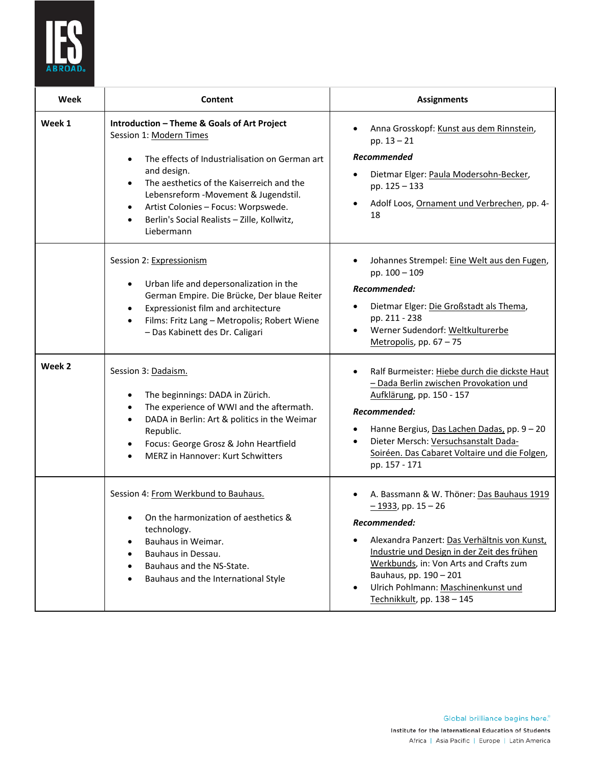

| Week   | Content                                                                                                                                                                                                                                                                                                                                                                  | <b>Assignments</b>                                                                                                                                                                                                                                                                                                         |
|--------|--------------------------------------------------------------------------------------------------------------------------------------------------------------------------------------------------------------------------------------------------------------------------------------------------------------------------------------------------------------------------|----------------------------------------------------------------------------------------------------------------------------------------------------------------------------------------------------------------------------------------------------------------------------------------------------------------------------|
| Week 1 | Introduction - Theme & Goals of Art Project<br>Session 1: Modern Times<br>The effects of Industrialisation on German art<br>$\bullet$<br>and design.<br>The aesthetics of the Kaiserreich and the<br>$\bullet$<br>Lebensreform - Movement & Jugendstil.<br>Artist Colonies - Focus: Worpswede.<br>$\bullet$<br>Berlin's Social Realists - Zille, Kollwitz,<br>Liebermann | Anna Grosskopf: Kunst aus dem Rinnstein,<br>$\bullet$<br>$pp. 13 - 21$<br><b>Recommended</b><br>Dietmar Elger: Paula Modersohn-Becker,<br>pp. 125 - 133<br>Adolf Loos, Ornament und Verbrechen, pp. 4-<br>18                                                                                                               |
|        | Session 2: Expressionism<br>Urban life and depersonalization in the<br>$\bullet$<br>German Empire. Die Brücke, Der blaue Reiter<br>Expressionist film and architecture<br>$\bullet$<br>Films: Fritz Lang - Metropolis; Robert Wiene<br>$\bullet$<br>- Das Kabinett des Dr. Caligari                                                                                      | Johannes Strempel: Eine Welt aus den Fugen,<br>٠<br>pp. 100 - 109<br>Recommended:<br>Dietmar Elger: Die Großstadt als Thema,<br>pp. 211 - 238<br>Werner Sudendorf: Weltkulturerbe<br>Metropolis, pp. 67 - 75                                                                                                               |
| Week 2 | Session 3: Dadaism.<br>The beginnings: DADA in Zürich.<br>٠<br>The experience of WWI and the aftermath.<br>$\bullet$<br>DADA in Berlin: Art & politics in the Weimar<br>$\bullet$<br>Republic.<br>Focus: George Grosz & John Heartfield<br>٠<br>MERZ in Hannover: Kurt Schwitters                                                                                        | Ralf Burmeister: Hiebe durch die dickste Haut<br>- Dada Berlin zwischen Provokation und<br>Aufklärung, pp. 150 - 157<br>Recommended:<br>Hanne Bergius, Das Lachen Dadas, pp. 9 - 20<br>Dieter Mersch: Versuchsanstalt Dada-<br>$\bullet$<br>Soiréen. Das Cabaret Voltaire und die Folgen,<br>pp. 157 - 171                 |
|        | Session 4: From Werkbund to Bauhaus.<br>On the harmonization of aesthetics &<br>technology.<br>Bauhaus in Weimar.<br>$\bullet$<br>Bauhaus in Dessau.<br>$\bullet$<br>Bauhaus and the NS-State.<br>Bauhaus and the International Style                                                                                                                                    | A. Bassmann & W. Thöner: Das Bauhaus 1919<br>$-1933$ , pp. 15 - 26<br>Recommended:<br>Alexandra Panzert: Das Verhältnis von Kunst,<br>Industrie und Design in der Zeit des frühen<br>Werkbunds, in: Von Arts and Crafts zum<br>Bauhaus, pp. 190 - 201<br>Ulrich Pohlmann: Maschinenkunst und<br>Technikkult, pp. 138 - 145 |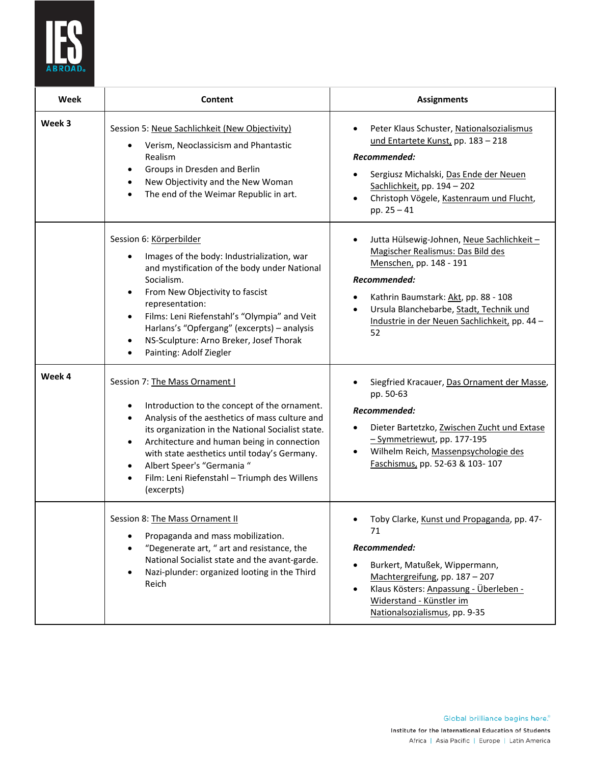

| Week   | Content                                                                                                                                                                                                                                                                                                                                                                                                                                  | <b>Assignments</b>                                                                                                                                                                                                                                                                                |
|--------|------------------------------------------------------------------------------------------------------------------------------------------------------------------------------------------------------------------------------------------------------------------------------------------------------------------------------------------------------------------------------------------------------------------------------------------|---------------------------------------------------------------------------------------------------------------------------------------------------------------------------------------------------------------------------------------------------------------------------------------------------|
| Week 3 | Session 5: Neue Sachlichkeit (New Objectivity)<br>Verism, Neoclassicism and Phantastic<br>٠<br>Realism<br>Groups in Dresden and Berlin<br>$\bullet$<br>New Objectivity and the New Woman<br>$\bullet$<br>The end of the Weimar Republic in art.<br>$\bullet$                                                                                                                                                                             | Peter Klaus Schuster, Nationalsozialismus<br>und Entartete Kunst, pp. 183 - 218<br>Recommended:<br>Sergiusz Michalski, Das Ende der Neuen<br>Sachlichkeit, pp. 194 - 202<br>Christoph Vögele, Kastenraum und Flucht,<br>$\bullet$<br>pp. $25 - 41$                                                |
|        | Session 6: Körperbilder<br>Images of the body: Industrialization, war<br>$\bullet$<br>and mystification of the body under National<br>Socialism.<br>From New Objectivity to fascist<br>$\bullet$<br>representation:<br>Films: Leni Riefenstahl's "Olympia" and Veit<br>$\bullet$<br>Harlans's "Opfergang" (excerpts) - analysis<br>NS-Sculpture: Arno Breker, Josef Thorak<br>٠<br>Painting: Adolf Ziegler                               | Jutta Hülsewig-Johnen, Neue Sachlichkeit-<br>٠<br>Magischer Realismus: Das Bild des<br>Menschen, pp. 148 - 191<br>Recommended:<br>Kathrin Baumstark: Akt, pp. 88 - 108<br>$\bullet$<br>Ursula Blanchebarbe, Stadt, Technik und<br>$\bullet$<br>Industrie in der Neuen Sachlichkeit, pp. 44-<br>52 |
| Week 4 | Session 7: The Mass Ornament I<br>Introduction to the concept of the ornament.<br>٠<br>Analysis of the aesthetics of mass culture and<br>$\bullet$<br>its organization in the National Socialist state.<br>Architecture and human being in connection<br>$\bullet$<br>with state aesthetics until today's Germany.<br>Albert Speer's "Germania "<br>$\bullet$<br>Film: Leni Riefenstahl - Triumph des Willens<br>$\bullet$<br>(excerpts) | Siegfried Kracauer, Das Ornament der Masse,<br>pp. 50-63<br>Recommended:<br>Dieter Bartetzko, Zwischen Zucht und Extase<br>- Symmetriewut, pp. 177-195<br>Wilhelm Reich, Massenpsychologie des<br>$\bullet$<br>Faschismus, pp. 52-63 & 103-107                                                    |
|        | Session 8: The Mass Ornament II<br>Propaganda and mass mobilization.<br>"Degenerate art, " art and resistance, the<br>National Socialist state and the avant-garde.<br>Nazi-plunder: organized looting in the Third<br>Reich                                                                                                                                                                                                             | Toby Clarke, Kunst und Propaganda, pp. 47-<br>71<br>Recommended:<br>Burkert, Matußek, Wippermann,<br>Machtergreifung, pp. 187 - 207<br>Klaus Kösters: Anpassung - Überleben -<br>Widerstand - Künstler im<br>Nationalsozialismus, pp. 9-35                                                        |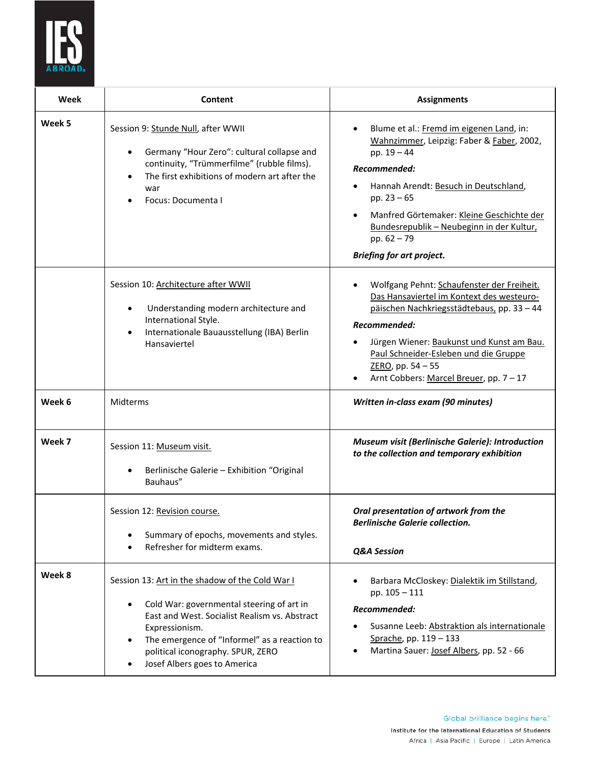

| Week   | Content                                                                                                                                                                                                                                                                              | <b>Assignments</b>                                                                                                                                                                                                                                                                                                            |
|--------|--------------------------------------------------------------------------------------------------------------------------------------------------------------------------------------------------------------------------------------------------------------------------------------|-------------------------------------------------------------------------------------------------------------------------------------------------------------------------------------------------------------------------------------------------------------------------------------------------------------------------------|
| Week 5 | Session 9: Stunde Null, after WWII<br>Germany "Hour Zero": cultural collapse and<br>$\bullet$<br>continuity, "Trümmerfilme" (rubble films).<br>The first exhibitions of modern art after the<br>war<br>Focus: Documenta I                                                            | Blume et al.: Fremd im eigenen Land, in:<br>Wahnzimmer, Leipzig: Faber & Faber, 2002,<br>pp. $19 - 44$<br>Recommended:<br>Hannah Arendt: Besuch in Deutschland,<br>pp. $23 - 65$<br>Manfred Görtemaker: Kleine Geschichte der<br>Bundesrepublik - Neubeginn in der Kultur,<br>pp. 62 - 79<br><b>Briefing for art project.</b> |
|        | Session 10: Architecture after WWII<br>Understanding modern architecture and<br>International Style.<br>Internationale Bauausstellung (IBA) Berlin<br>Hansaviertel                                                                                                                   | Wolfgang Pehnt: Schaufenster der Freiheit.<br>Das Hansaviertel im Kontext des westeuro-<br>päischen Nachkriegsstädtebaus, pp. 33 - 44<br>Recommended:<br>Jürgen Wiener: Baukunst und Kunst am Bau.<br>Paul Schneider-Esleben und die Gruppe<br>ZERO, pp. 54 - 55<br>Arnt Cobbers: Marcel Breuer, pp. 7 - 17                   |
| Week 6 | Midterms                                                                                                                                                                                                                                                                             | Written in-class exam (90 minutes)                                                                                                                                                                                                                                                                                            |
| Week 7 | Session 11: Museum visit.<br>Berlinische Galerie - Exhibition "Original<br>Bauhaus"                                                                                                                                                                                                  | <b>Museum visit (Berlinische Galerie): Introduction</b><br>to the collection and temporary exhibition                                                                                                                                                                                                                         |
|        | Session 12: Revision course.<br>Summary of epochs, movements and styles.<br>Refresher for midterm exams.                                                                                                                                                                             | Oral presentation of artwork from the<br><b>Berlinische Galerie collection.</b><br>Q&A Session                                                                                                                                                                                                                                |
| Week 8 | Session 13: Art in the shadow of the Cold War I<br>Cold War: governmental steering of art in<br>East and West. Socialist Realism vs. Abstract<br>Expressionism.<br>The emergence of "Informel" as a reaction to<br>political iconography. SPUR, ZERO<br>Josef Albers goes to America | Barbara McCloskey: Dialektik im Stillstand,<br>pp. $105 - 111$<br>Recommended:<br>Susanne Leeb: Abstraktion als internationale<br>Sprache, pp. 119 - 133<br>Martina Sauer: Josef Albers, pp. 52 - 66                                                                                                                          |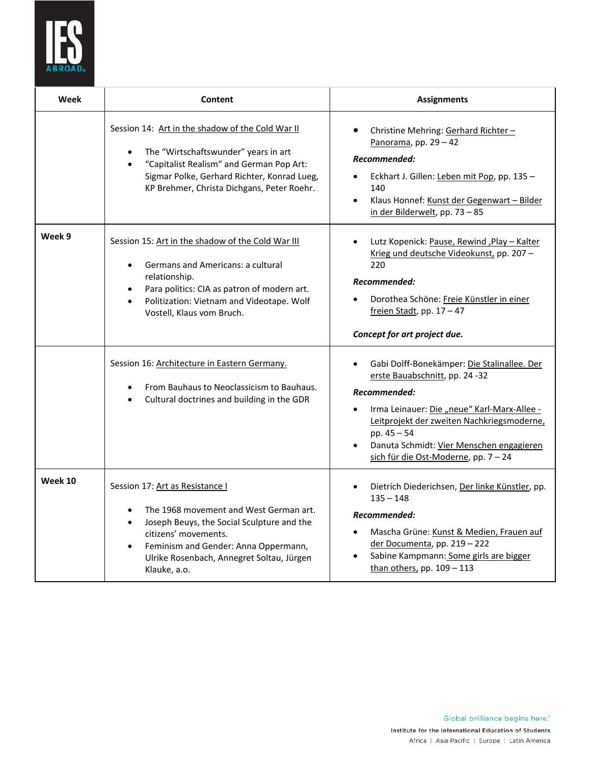

| Week    | Content                                                                                                                                                                                                                                                                                     | <b>Assignments</b>                                                                                                                                                                                                                                                                            |
|---------|---------------------------------------------------------------------------------------------------------------------------------------------------------------------------------------------------------------------------------------------------------------------------------------------|-----------------------------------------------------------------------------------------------------------------------------------------------------------------------------------------------------------------------------------------------------------------------------------------------|
|         | Session 14: Art in the shadow of the Cold War II<br>The "Wirtschaftswunder" years in art<br>$\bullet$<br>"Capitalist Realism" and German Pop Art:<br>$\bullet$<br>Sigmar Polke, Gerhard Richter, Konrad Lueg,<br>KP Brehmer, Christa Dichgans, Peter Roehr.                                 | Christine Mehring: Gerhard Richter-<br>$\bullet$<br>Panorama, pp. 29 - 42<br>Recommended:<br>Eckhart J. Gillen: Leben mit Pop, pp. 135 -<br>$\bullet$<br>140<br>Klaus Honnef: Kunst der Gegenwart - Bilder<br>$\bullet$<br>in der Bilderwelt, pp. 73 - 85                                     |
| Week 9  | Session 15: Art in the shadow of the Cold War III<br>Germans and Americans: a cultural<br>$\bullet$<br>relationship.<br>Para politics: CIA as patron of modern art.<br>$\bullet$<br>Politization: Vietnam and Videotape. Wolf<br>$\bullet$<br>Vostell, Klaus vom Bruch.                     | Lutz Kopenick: Pause, Rewind, Play - Kalter<br>$\bullet$<br>Krieg und deutsche Videokunst, pp. 207-<br>220<br>Recommended:<br>Dorothea Schöne: Freie Künstler in einer<br>freien Stadt, pp. $17 - 47$<br>Concept for art project due.                                                         |
|         | Session 16: Architecture in Eastern Germany.<br>From Bauhaus to Neoclassicism to Bauhaus.<br>Cultural doctrines and building in the GDR                                                                                                                                                     | Gabi Dolff-Bonekämper: Die Stalinallee. Der<br>erste Bauabschnitt, pp. 24 -32<br>Recommended:<br>Irma Leinauer: Die "neue" Karl-Marx-Allee -<br>Leitprojekt der zweiten Nachkriegsmoderne,<br>pp. 45 - 54<br>Danuta Schmidt: Vier Menschen engagieren<br>sich für die Ost-Moderne, pp. 7 - 24 |
| Week 10 | Session 17: Art as Resistance I<br>The 1968 movement and West German art.<br>$\bullet$<br>Joseph Beuys, the Social Sculpture and the<br>$\bullet$<br>citizens' movements.<br>Feminism and Gender: Anna Oppermann,<br>$\bullet$<br>Ulrike Rosenbach, Annegret Soltau, Jürgen<br>Klauke, a.o. | Dietrich Diederichsen, Der linke Künstler, pp.<br>$\bullet$<br>$135 - 148$<br>Recommended:<br>Mascha Grüne: Kunst & Medien, Frauen auf<br>der Documenta, pp. 219 - 222<br>Sabine Kampmann: Some girls are bigger<br>than others, pp. 109 - 113                                                |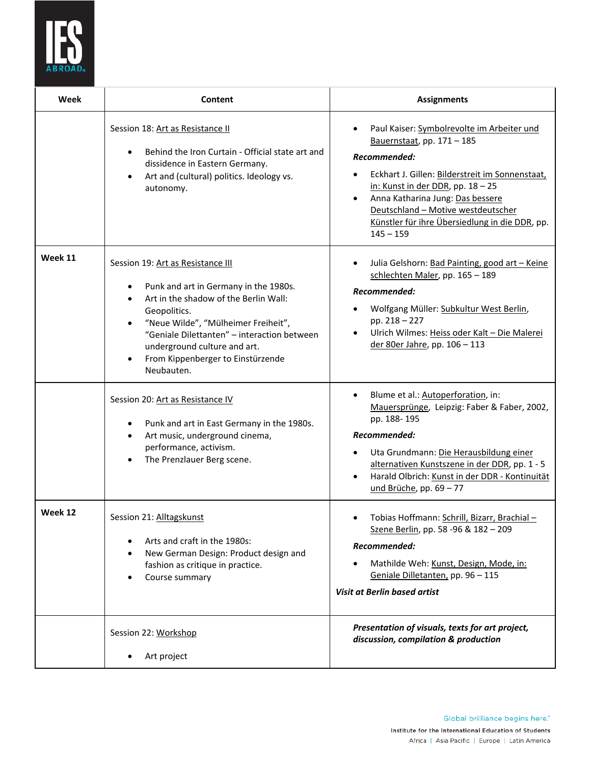

| Week    | Content                                                                                                                                                                                                                                                                                                                                                                                                                                                                                                        | <b>Assignments</b>                                                                                                                                                                                                                                                                                                                                                                                                        |
|---------|----------------------------------------------------------------------------------------------------------------------------------------------------------------------------------------------------------------------------------------------------------------------------------------------------------------------------------------------------------------------------------------------------------------------------------------------------------------------------------------------------------------|---------------------------------------------------------------------------------------------------------------------------------------------------------------------------------------------------------------------------------------------------------------------------------------------------------------------------------------------------------------------------------------------------------------------------|
|         | Session 18: Art as Resistance II<br>Behind the Iron Curtain - Official state art and<br>$\bullet$<br>dissidence in Eastern Germany.<br>Art and (cultural) politics. Ideology vs.<br>$\bullet$<br>autonomy.                                                                                                                                                                                                                                                                                                     | Paul Kaiser: Symbolrevolte im Arbeiter und<br>Bauernstaat, pp. 171 - 185<br>Recommended:<br>Eckhart J. Gillen: Bilderstreit im Sonnenstaat,<br>$\bullet$<br>in: Kunst in der DDR, pp. 18 - 25<br>Anna Katharina Jung: Das bessere<br>$\bullet$<br>Deutschland - Motive westdeutscher<br>Künstler für ihre Übersiedlung in die DDR, pp.<br>$145 - 159$                                                                     |
| Week 11 | Session 19: Art as Resistance III<br>Punk and art in Germany in the 1980s.<br>Art in the shadow of the Berlin Wall:<br>$\bullet$<br>Geopolitics.<br>"Neue Wilde", "Mülheimer Freiheit",<br>"Geniale Dilettanten" - interaction between<br>underground culture and art.<br>From Kippenberger to Einstürzende<br>$\bullet$<br>Neubauten.<br>Session 20: Art as Resistance IV<br>Punk and art in East Germany in the 1980s.<br>$\bullet$<br>Art music, underground cinema,<br>$\bullet$<br>performance, activism. | Julia Gelshorn: Bad Painting, good art - Keine<br>$\bullet$<br>schlechten Maler, pp. 165 - 189<br>Recommended:<br>Wolfgang Müller: Subkultur West Berlin,<br>pp. 218 - 227<br>Ulrich Wilmes: Heiss oder Kalt - Die Malerei<br>der 80er Jahre, pp. 106 - 113<br>Blume et al.: Autoperforation, in:<br>Mauersprünge, Leipzig: Faber & Faber, 2002,<br>pp. 188-195<br>Recommended:<br>Uta Grundmann: Die Herausbildung einer |
|         | The Prenzlauer Berg scene.<br>$\bullet$                                                                                                                                                                                                                                                                                                                                                                                                                                                                        | alternativen Kunstszene in der DDR, pp. 1 - 5<br>Harald Olbrich: Kunst in der DDR - Kontinuität<br>und Brüche, pp. 69 - 77                                                                                                                                                                                                                                                                                                |
| Week 12 | Session 21: Alltagskunst<br>Arts and craft in the 1980s:<br>$\bullet$<br>New German Design: Product design and<br>$\bullet$<br>fashion as critique in practice.<br>Course summary                                                                                                                                                                                                                                                                                                                              | • Tobias Hoffmann: Schrill, Bizarr, Brachial-<br>Szene Berlin, pp. 58 -96 & 182 - 209<br>Recommended:<br>Mathilde Weh: Kunst, Design, Mode, in:<br>Geniale Dilletanten, pp. 96 - 115<br>Visit at Berlin based artist                                                                                                                                                                                                      |
|         | Session 22: Workshop<br>Art project                                                                                                                                                                                                                                                                                                                                                                                                                                                                            | Presentation of visuals, texts for art project,<br>discussion, compilation & production                                                                                                                                                                                                                                                                                                                                   |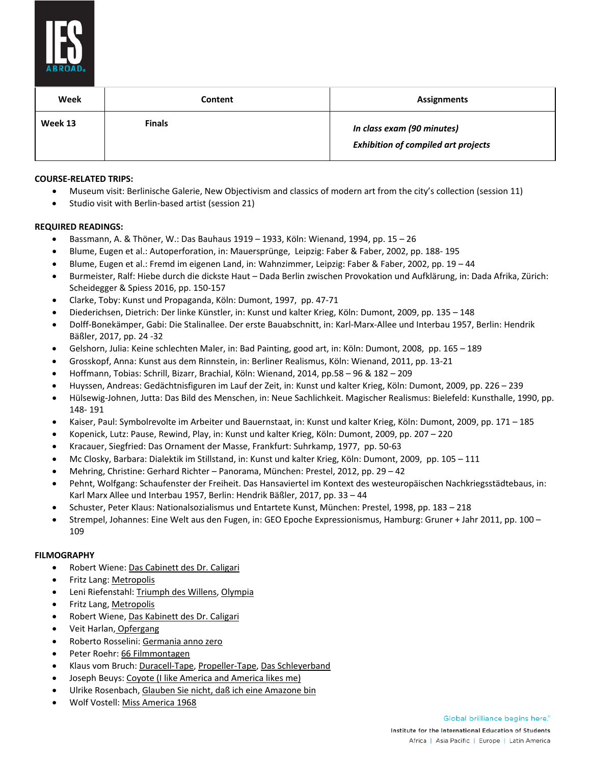

| Week    | Content       | <b>Assignments</b>                                                       |
|---------|---------------|--------------------------------------------------------------------------|
| Week 13 | <b>Finals</b> | In class exam (90 minutes)<br><b>Exhibition of compiled art projects</b> |

# **COURSE-RELATED TRIPS:**

- Museum visit: Berlinische Galerie, New Objectivism and classics of modern art from the city's collection (session 11)
- Studio visit with Berlin-based artist (session 21)

# **REQUIRED READINGS:**

- Bassmann, A. & Thöner, W.: Das Bauhaus 1919 1933, Köln: Wienand, 1994, pp. 15 26
- Blume, Eugen et al.: Autoperforation, in: Mauersprünge, Leipzig: Faber & Faber, 2002, pp. 188- 195
- Blume, Eugen et al.: Fremd im eigenen Land, in: Wahnzimmer, Leipzig: Faber & Faber, 2002, pp. 19 44
- Burmeister, Ralf: Hiebe durch die dickste Haut Dada Berlin zwischen Provokation und Aufklärung, in: Dada Afrika, Zürich: Scheidegger & Spiess 2016, pp. 150-157
- Clarke, Toby: Kunst und Propaganda, Köln: Dumont, 1997, pp. 47-71
- Diederichsen, Dietrich: Der linke Künstler, in: Kunst und kalter Krieg, Köln: Dumont, 2009, pp. 135 148
- Dolff-Bonekämper, Gabi: Die Stalinallee. Der erste Bauabschnitt, in: Karl-Marx-Allee und Interbau 1957, Berlin: Hendrik Bäßler, 2017, pp. 24 -32
- Gelshorn, Julia: Keine schlechten Maler, in: Bad Painting, good art, in: Köln: Dumont, 2008, pp. 165 189
- Grosskopf, Anna: Kunst aus dem Rinnstein, in: Berliner Realismus, Köln: Wienand, 2011, pp. 13-21
- Hoffmann, Tobias: Schrill, Bizarr, Brachial, Köln: Wienand, 2014, pp.58 96 & 182 209
- Huyssen, Andreas: Gedächtnisfiguren im Lauf der Zeit, in: Kunst und kalter Krieg, Köln: Dumont, 2009, pp. 226 239
- Hülsewig-Johnen, Jutta: Das Bild des Menschen, in: Neue Sachlichkeit. Magischer Realismus: Bielefeld: Kunsthalle, 1990, pp. 148- 191
- Kaiser, Paul: Symbolrevolte im Arbeiter und Bauernstaat, in: Kunst und kalter Krieg, Köln: Dumont, 2009, pp. 171 185
- Kopenick, Lutz: Pause, Rewind, Play, in: Kunst und kalter Krieg, Köln: Dumont, 2009, pp. 207 220
- Kracauer, Siegfried: Das Ornament der Masse, Frankfurt: Suhrkamp, 1977, pp. 50-63
- Mc Closky, Barbara: Dialektik im Stillstand, in: Kunst und kalter Krieg, Köln: Dumont, 2009, pp. 105 111
- Mehring, Christine: Gerhard Richter Panorama, München: Prestel, 2012, pp. 29 42
- Pehnt, Wolfgang: Schaufenster der Freiheit. Das Hansaviertel im Kontext des westeuropäischen Nachkriegsstädtebaus, in: Karl Marx Allee und Interbau 1957, Berlin: Hendrik Bäßler, 2017, pp. 33 – 44
- Schuster, Peter Klaus: Nationalsozialismus und Entartete Kunst, München: Prestel, 1998, pp. 183 218
- Strempel, Johannes: Eine Welt aus den Fugen, in: GEO Epoche Expressionismus, Hamburg: Gruner + Jahr 2011, pp. 100 109

### **FILMOGRAPHY**

- Robert Wiene: Das Cabinett des Dr. Caligari
- Fritz Lang: Metropolis
- Leni Riefenstahl: Triumph des Willens, Olympia
- Fritz Lang, Metropolis
- Robert Wiene, Das Kabinett des Dr. Caligari
- Veit Harlan, Opfergang
- Roberto Rosselini: Germania anno zero
- Peter Roehr: 66 Filmmontagen
- Klaus vom Bruch: Duracell-Tape, Propeller-Tape, Das Schleyerband
- Joseph Beuys: Coyote (I like America and America likes me)
- Ulrike Rosenbach, Glauben Sie nicht, daß ich eine Amazone bin
- Wolf Vostell: Miss America 1968